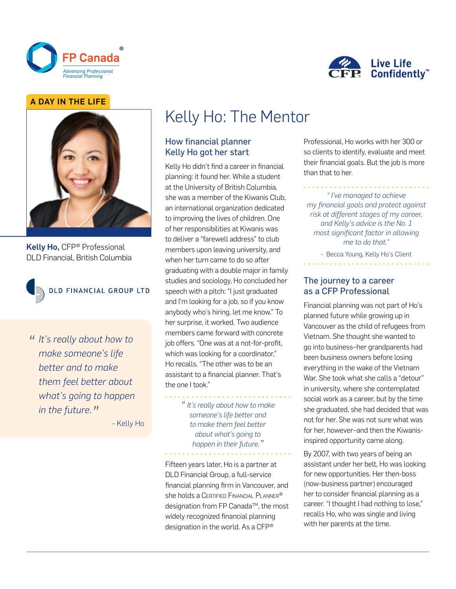



### A DAY IN THE LIFE



Kelly Ho, CFP® Professional DLD Financial, British Columbia



DLD FINANCIAL GROUP LTD

*" It's really about how to make someone's life better and to make them feel better about what's going to happen in the future."*

- Kelly Ho

# Kelly Ho: The Mentor

# How financial planner Kelly Ho got her start

Kelly Ho didn't find a career in financial planning: it found her. While a student at the University of British Columbia, she was a member of the Kiwanis Club, an international organization dedicated to improving the lives of children. One of her responsibilities at Kiwanis was to deliver a "farewell address" to club members upon leaving university, and when her turn came to do so after graduating with a double major in family studies and sociology, Ho concluded her speech with a pitch: "I just graduated and I'm looking for a job, so if you know anybody who's hiring, let me know." To her surprise, it worked. Two audience members came forward with concrete job offers. "One was at a not-for-profit, which was looking for a coordinator," Ho recalls. "The other was to be an assistant to a financial planner. That's the one I took."

> *" It's really about how to make someone's life better and to make them feel better about what's going to happen in their future."*

Fifteen years later, Ho is a partner at DLD Financial Group, a full-service financial planning firm in Vancouver, and she holds a CERTIFIED FINANCIAL PLANNER® designation from FP Canada™, the most widely recognized financial planning designation in the world. As a CFP®

Professional, Ho works with her 300 or so clients to identify, evaluate and meet their financial goals. But the job is more than that to her.

#### *" I've managed to achieve my financial goals and protect against risk at different stages of my career, and Kelly's advice is the No. 1 most significant factor in allowing me to do that."*

- Becca Young, Kelly Ho's Client

#### The journey to a career as a CFP Professional

Financial planning was not part of Ho's planned future while growing up in Vancouver as the child of refugees from Vietnam. She thought she wanted to go into business–her grandparents had been business owners before losing everything in the wake of the Vietnam War. She took what she calls a "detour" in university, where she contemplated social work as a career, but by the time she graduated, she had decided that was not for her. She was not sure what was for her, however–and then the Kiwanisinspired opportunity came along.

By 2007, with two years of being an assistant under her belt, Ho was looking for new opportunities. Her then-boss (now-business partner) encouraged her to consider financial planning as a career. "I thought I had nothing to lose," recalls Ho, who was single and living with her parents at the time.